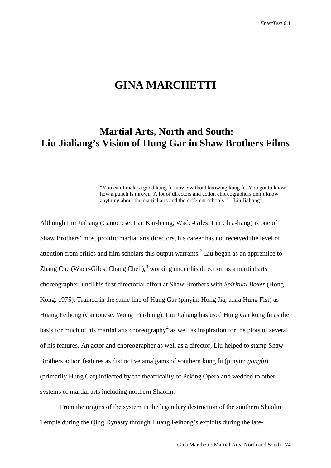## **GINA MARCHETTI**

# **Martial Arts, North and South: Liu Jialiang's Vision of Hung Gar in Shaw Brothers Films**

"You can't make a good kung fu movie without knowing kung fu. You got to know how a punch is thrown. A lot of directors and action choreographers don't know anything about the martial arts and the different schools."  $-$  Liu Jialiang<sup>[1](#page-35-0)</sup>

Although Liu Jialiang (Cantonese: Lau Kar-leung, Wade-Giles: Liu Chia-liang) is one of Shaw Brothers' most prolific martial arts directors, his career has not received the level of attention from critics and film scholars this output warrants.<sup>[2](#page-35-1)</sup> Liu began as an apprentice to Zhang Che (Wade-Giles: Chang Cheh), $3$  working under his direction as a martial arts choreographer, until his first directorial effort at Shaw Brothers with *Spiritual Boxer* (Hong Kong, 1975). Trained in the same line of Hung Gar (pinyin: Hong Jia; a.k.a Hung Fist) as Huang Feihong (Cantonese: Wong Fei-hung), Liu Jialiang has used Hung Gar kung fu as the basis for much of his martial arts choreography<sup>[4](#page-35-3)</sup> as well as inspiration for the plots of several of his features. An actor and choreographer as well as a director, Liu helped to stamp Shaw Brothers action features as distinctive amalgams of southern kung fu (pinyin: *gongfu*) (primarily Hung Gar) inflected by the theatricality of Peking Opera and wedded to other systems of martial arts including northern Shaolin.

From the origins of the system in the legendary destruction of the southern Shaolin Temple during the Qing Dynasty through Huang Feihong's exploits during the late-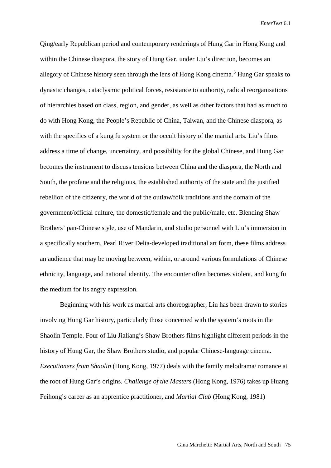Qing/early Republican period and contemporary renderings of Hung Gar in Hong Kong and within the Chinese diaspora, the story of Hung Gar, under Liu's direction, becomes an allegory of Chinese history seen through the lens of Hong Kong cinema.<sup>[5](#page-36-0)</sup> Hung Gar speaks to dynastic changes, cataclysmic political forces, resistance to authority, radical reorganisations of hierarchies based on class, region, and gender, as well as other factors that had as much to do with Hong Kong, the People's Republic of China, Taiwan, and the Chinese diaspora, as with the specifics of a kung fu system or the occult history of the martial arts. Liu's films address a time of change, uncertainty, and possibility for the global Chinese, and Hung Gar becomes the instrument to discuss tensions between China and the diaspora, the North and South, the profane and the religious, the established authority of the state and the justified rebellion of the citizenry, the world of the outlaw/folk traditions and the domain of the government/official culture, the domestic/female and the public/male, etc. Blending Shaw Brothers' pan-Chinese style, use of Mandarin, and studio personnel with Liu's immersion in a specifically southern, Pearl River Delta-developed traditional art form, these films address an audience that may be moving between, within, or around various formulations of Chinese ethnicity, language, and national identity. The encounter often becomes violent, and kung fu the medium for its angry expression.

Beginning with his work as martial arts choreographer, Liu has been drawn to stories involving Hung Gar history, particularly those concerned with the system's roots in the Shaolin Temple. Four of Liu Jialiang's Shaw Brothers films highlight different periods in the history of Hung Gar, the Shaw Brothers studio, and popular Chinese-language cinema. *Executioners from Shaolin* (Hong Kong, 1977) deals with the family melodrama/ romance at the root of Hung Gar's origins. *Challenge of the Masters* (Hong Kong, 1976) takes up Huang Feihong's career as an apprentice practitioner, and *Martial Club* (Hong Kong, 1981)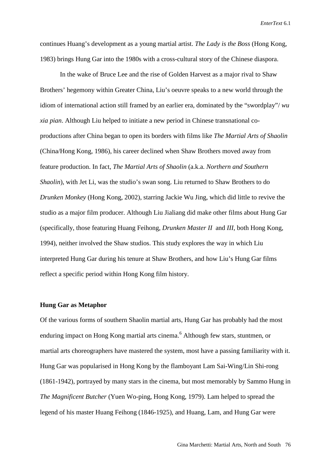continues Huang's development as a young martial artist. *The Lady is the Boss* (Hong Kong, 1983) brings Hung Gar into the 1980s with a cross-cultural story of the Chinese diaspora.

In the wake of Bruce Lee and the rise of Golden Harvest as a major rival to Shaw Brothers' hegemony within Greater China, Liu's oeuvre speaks to a new world through the idiom of international action still framed by an earlier era, dominated by the "swordplay"/ *wu xia pian*. Although Liu helped to initiate a new period in Chinese transnational coproductions after China began to open its borders with films like *The Martial Arts of Shaolin* (China/Hong Kong, 1986), his career declined when Shaw Brothers moved away from feature production. In fact, *The Martial Arts of Shaolin* (a.k.a. *Northern and Southern Shaolin*), with Jet Li, was the studio's swan song. Liu returned to Shaw Brothers to do *Drunken Monkey* (Hong Kong, 2002), starring Jackie Wu Jing, which did little to revive the studio as a major film producer. Although Liu Jialiang did make other films about Hung Gar (specifically, those featuring Huang Feihong, *Drunken Master II* and *III*, both Hong Kong, 1994), neither involved the Shaw studios. This study explores the way in which Liu interpreted Hung Gar during his tenure at Shaw Brothers, and how Liu's Hung Gar films reflect a specific period within Hong Kong film history.

#### **Hung Gar as Metaphor**

Of the various forms of southern Shaolin martial arts, Hung Gar has probably had the most enduring impact on Hong Kong martial arts cinema.<sup>[6](#page-36-1)</sup> Although few stars, stuntmen, or martial arts choreographers have mastered the system, most have a passing familiarity with it. Hung Gar was popularised in Hong Kong by the flamboyant Lam Sai-Wing/Lin Shi-rong (1861-1942), portrayed by many stars in the cinema, but most memorably by Sammo Hung in *The Magnificent Butcher* (Yuen Wo-ping, Hong Kong, 1979). Lam helped to spread the legend of his master Huang Feihong (1846-1925), and Huang, Lam, and Hung Gar were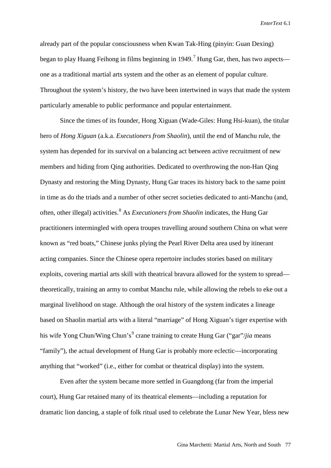already part of the popular consciousness when Kwan Tak-Hing (pinyin: Guan Dexing) began to play Huang Feihong in films beginning in 1949.<sup>[7](#page-36-2)</sup> Hung Gar, then, has two aspects one as a traditional martial arts system and the other as an element of popular culture. Throughout the system's history, the two have been intertwined in ways that made the system particularly amenable to public performance and popular entertainment.

Since the times of its founder, Hong Xiguan (Wade-Giles: Hung Hsi-kuan), the titular hero of *Hong Xiguan* (a.k.a. *Executioners from Shaolin*), until the end of Manchu rule, the system has depended for its survival on a balancing act between active recruitment of new members and hiding from Qing authorities. Dedicated to overthrowing the non-Han Qing Dynasty and restoring the Ming Dynasty, Hung Gar traces its history back to the same point in time as do the triads and a number of other secret societies dedicated to anti-Manchu (and, often, other illegal) activities.[8](#page-36-3) As *Executioners from Shaolin* indicates, the Hung Gar practitioners intermingled with opera troupes travelling around southern China on what were known as "red boats," Chinese junks plying the Pearl River Delta area used by itinerant acting companies. Since the Chinese opera repertoire includes stories based on military exploits, covering martial arts skill with theatrical bravura allowed for the system to spread theoretically, training an army to combat Manchu rule, while allowing the rebels to eke out a marginal livelihood on stage. Although the oral history of the system indicates a lineage based on Shaolin martial arts with a literal "marriage" of Hong Xiguan's tiger expertise with his wife Yong Chun/Wing Chun's<sup>[9](#page-36-4)</sup> crane training to create Hung Gar ("gar"/*jia* means "family"), the actual development of Hung Gar is probably more eclectic—incorporating anything that "worked" (i.e., either for combat or theatrical display) into the system.

Even after the system became more settled in Guangdong (far from the imperial court), Hung Gar retained many of its theatrical elements—including a reputation for dramatic lion dancing, a staple of folk ritual used to celebrate the Lunar New Year, bless new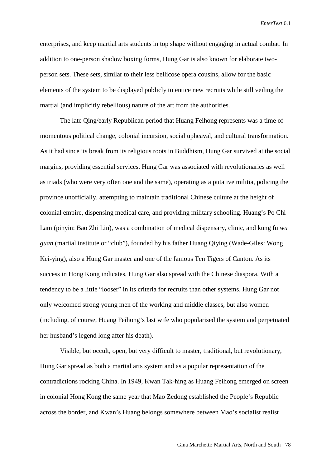enterprises, and keep martial arts students in top shape without engaging in actual combat. In addition to one-person shadow boxing forms, Hung Gar is also known for elaborate twoperson sets. These sets, similar to their less bellicose opera cousins, allow for the basic elements of the system to be displayed publicly to entice new recruits while still veiling the martial (and implicitly rebellious) nature of the art from the authorities.

The late Qing/early Republican period that Huang Feihong represents was a time of momentous political change, colonial incursion, social upheaval, and cultural transformation. As it had since its break from its religious roots in Buddhism, Hung Gar survived at the social margins, providing essential services. Hung Gar was associated with revolutionaries as well as triads (who were very often one and the same), operating as a putative militia, policing the province unofficially, attempting to maintain traditional Chinese culture at the height of colonial empire, dispensing medical care, and providing military schooling. Huang's Po Chi Lam (pinyin: Bao Zhi Lin), was a combination of medical dispensary, clinic, and kung fu *wu guan* (martial institute or "club"), founded by his father Huang Qiying (Wade-Giles: Wong Kei-ying), also a Hung Gar master and one of the famous Ten Tigers of Canton. As its success in Hong Kong indicates, Hung Gar also spread with the Chinese diaspora. With a tendency to be a little "looser" in its criteria for recruits than other systems, Hung Gar not only welcomed strong young men of the working and middle classes, but also women (including, of course, Huang Feihong's last wife who popularised the system and perpetuated her husband's legend long after his death).

Visible, but occult, open, but very difficult to master, traditional, but revolutionary, Hung Gar spread as both a martial arts system and as a popular representation of the contradictions rocking China. In 1949, Kwan Tak-hing as Huang Feihong emerged on screen in colonial Hong Kong the same year that Mao Zedong established the People's Republic across the border, and Kwan's Huang belongs somewhere between Mao's socialist realist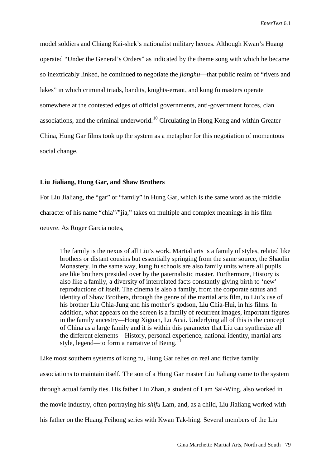model soldiers and Chiang Kai-shek's nationalist military heroes. Although Kwan's Huang operated "Under the General's Orders" as indicated by the theme song with which he became so inextricably linked, he continued to negotiate the *jianghu*—that public realm of "rivers and lakes" in which criminal triads, bandits, knights-errant, and kung fu masters operate somewhere at the contested edges of official governments, anti-government forces, clan associations, and the criminal underworld.<sup>[10](#page-36-5)</sup> Circulating in Hong Kong and within Greater China, Hung Gar films took up the system as a metaphor for this negotiation of momentous social change.

#### **Liu Jialiang, Hung Gar, and Shaw Brothers**

For Liu Jialiang, the "gar" or "family" in Hung Gar, which is the same word as the middle character of his name "chia"/"jia," takes on multiple and complex meanings in his film oeuvre. As Roger Garcia notes,

The family is the nexus of all Liu's work. Martial arts is a family of styles, related like brothers or distant cousins but essentially springing from the same source, the Shaolin Monastery. In the same way, kung fu schools are also family units where all pupils are like brothers presided over by the paternalistic master. Furthermore, History is also like a family, a diversity of interrelated facts constantly giving birth to 'new' reproductions of itself. The cinema is also a family, from the corporate status and identity of Shaw Brothers, through the genre of the martial arts film, to Liu's use of his brother Liu Chia-Jung and his mother's godson, Liu Chia-Hui, in his films. In addition, what appears on the screen is a family of recurrent images, important figures in the family ancestry—Hong Xiguan, Lu Acai. Underlying all of this is the concept of China as a large family and it is within this parameter that Liu can synthesize all the different elements—History, personal experience, national identity, martial arts style, legend—to form a narrative of Being.<sup>1</sup>

Like most southern systems of kung fu, Hung Gar relies on real and fictive family associations to maintain itself. The son of a Hung Gar master Liu Jialiang came to the system through actual family ties. His father Liu Zhan, a student of Lam Sai-Wing, also worked in the movie industry, often portraying his *shifu* Lam, and, as a child, Liu Jialiang worked with his father on the Huang Feihong series with Kwan Tak-hing. Several members of the Liu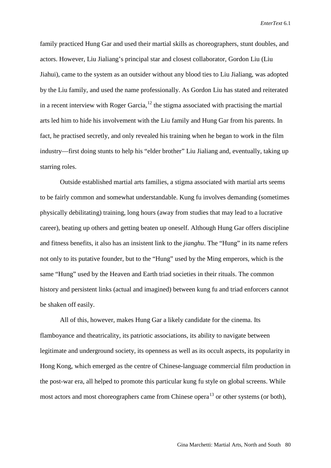family practiced Hung Gar and used their martial skills as choreographers, stunt doubles, and actors. However, Liu Jialiang's principal star and closest collaborator, Gordon Liu (Liu Jiahui), came to the system as an outsider without any blood ties to Liu Jialiang, was adopted by the Liu family, and used the name professionally. As Gordon Liu has stated and reiterated in a recent interview with Roger Garcia,  $12$  the stigma associated with practising the martial arts led him to hide his involvement with the Liu family and Hung Gar from his parents. In fact, he practised secretly, and only revealed his training when he began to work in the film industry—first doing stunts to help his "elder brother" Liu Jialiang and, eventually, taking up starring roles.

Outside established martial arts families, a stigma associated with martial arts seems to be fairly common and somewhat understandable. Kung fu involves demanding (sometimes physically debilitating) training, long hours (away from studies that may lead to a lucrative career), beating up others and getting beaten up oneself. Although Hung Gar offers discipline and fitness benefits, it also has an insistent link to the *jianghu*. The "Hung" in its name refers not only to its putative founder, but to the "Hung" used by the Ming emperors, which is the same "Hung" used by the Heaven and Earth triad societies in their rituals. The common history and persistent links (actual and imagined) between kung fu and triad enforcers cannot be shaken off easily.

All of this, however, makes Hung Gar a likely candidate for the cinema. Its flamboyance and theatricality, its patriotic associations, its ability to navigate between legitimate and underground society, its openness as well as its occult aspects, its popularity in Hong Kong, which emerged as the centre of Chinese-language commercial film production in the post-war era, all helped to promote this particular kung fu style on global screens. While most actors and most choreographers came from Chinese opera<sup>[13](#page-36-8)</sup> or other systems (or both),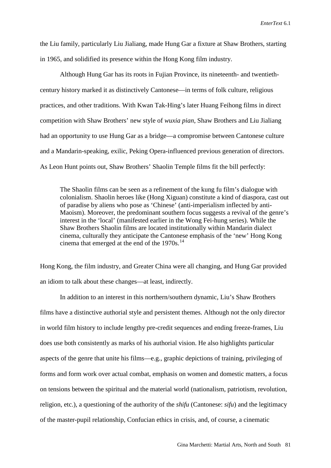the Liu family, particularly Liu Jialiang, made Hung Gar a fixture at Shaw Brothers, starting in 1965, and solidified its presence within the Hong Kong film industry.

Although Hung Gar has its roots in Fujian Province, its nineteenth- and twentiethcentury history marked it as distinctively Cantonese—in terms of folk culture, religious practices, and other traditions. With Kwan Tak-Hing's later Huang Feihong films in direct competition with Shaw Brothers' new style of *wuxia pian*, Shaw Brothers and Liu Jialiang had an opportunity to use Hung Gar as a bridge—a compromise between Cantonese culture and a Mandarin-speaking, exilic, Peking Opera-influenced previous generation of directors. As Leon Hunt points out, Shaw Brothers' Shaolin Temple films fit the bill perfectly:

The Shaolin films can be seen as a refinement of the kung fu film's dialogue with colonialism. Shaolin heroes like (Hong Xiguan) constitute a kind of diaspora, cast out of paradise by aliens who pose as 'Chinese' (anti-imperialism inflected by anti-Maoism). Moreover, the predominant southern focus suggests a revival of the genre's interest in the 'local' (manifested earlier in the Wong Fei-hung series). While the Shaw Brothers Shaolin films are located institutionally within Mandarin dialect cinema, culturally they anticipate the Cantonese emphasis of the 'new' Hong Kong cinema that emerged at the end of the 1970s.<sup>[14](#page-36-9)</sup>

Hong Kong, the film industry, and Greater China were all changing, and Hung Gar provided an idiom to talk about these changes—at least, indirectly.

In addition to an interest in this northern/southern dynamic, Liu's Shaw Brothers films have a distinctive authorial style and persistent themes. Although not the only director in world film history to include lengthy pre-credit sequences and ending freeze-frames, Liu does use both consistently as marks of his authorial vision. He also highlights particular aspects of the genre that unite his films—e.g., graphic depictions of training, privileging of forms and form work over actual combat, emphasis on women and domestic matters, a focus on tensions between the spiritual and the material world (nationalism, patriotism, revolution, religion, etc.), a questioning of the authority of the *shifu* (Cantonese: *sifu*) and the legitimacy of the master-pupil relationship, Confucian ethics in crisis, and, of course, a cinematic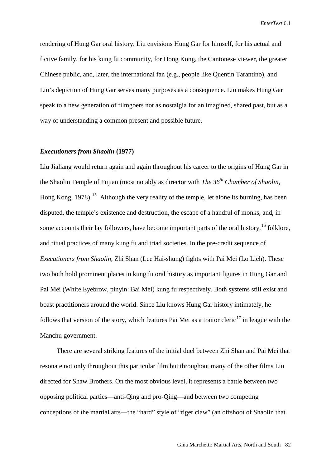rendering of Hung Gar oral history. Liu envisions Hung Gar for himself, for his actual and fictive family, for his kung fu community, for Hong Kong, the Cantonese viewer, the greater Chinese public, and, later, the international fan (e.g., people like Quentin Tarantino), and Liu's depiction of Hung Gar serves many purposes as a consequence. Liu makes Hung Gar speak to a new generation of filmgoers not as nostalgia for an imagined, shared past, but as a way of understanding a common present and possible future.

#### *Executioners from Shaolin* **(1977)**

Liu Jialiang would return again and again throughout his career to the origins of Hung Gar in the Shaolin Temple of Fujian (most notably as director with *The 36th Chamber of Shaolin*, Hong Kong, 1978).<sup>[15](#page-36-10)</sup> Although the very reality of the temple, let alone its burning, has been disputed, the temple's existence and destruction, the escape of a handful of monks, and, in some accounts their lay followers, have become important parts of the oral history,<sup>[16](#page-36-11)</sup> folklore, and ritual practices of many kung fu and triad societies. In the pre-credit sequence of *Executioners from Shaolin*, Zhi Shan (Lee Hai-shung) fights with Pai Mei (Lo Lieh). These two both hold prominent places in kung fu oral history as important figures in Hung Gar and Pai Mei (White Eyebrow, pinyin: Bai Mei) kung fu respectively. Both systems still exist and boast practitioners around the world. Since Liu knows Hung Gar history intimately, he follows that version of the story, which features Pai Mei as a traitor cleric<sup>[17](#page-36-12)</sup> in league with the Manchu government.

There are several striking features of the initial duel between Zhi Shan and Pai Mei that resonate not only throughout this particular film but throughout many of the other films Liu directed for Shaw Brothers. On the most obvious level, it represents a battle between two opposing political parties—anti-Qing and pro-Qing—and between two competing conceptions of the martial arts—the "hard" style of "tiger claw" (an offshoot of Shaolin that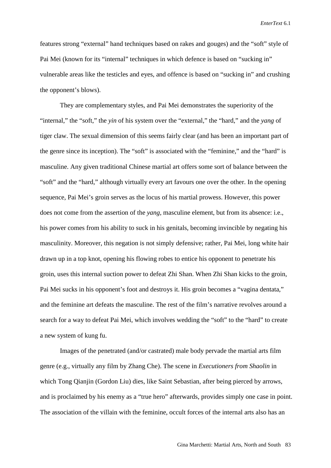features strong "external" hand techniques based on rakes and gouges) and the "soft" style of Pai Mei (known for its "internal" techniques in which defence is based on "sucking in" vulnerable areas like the testicles and eyes, and offence is based on "sucking in" and crushing the opponent's blows).

They are complementary styles, and Pai Mei demonstrates the superiority of the "internal," the "soft," the *yin* of his system over the "external," the "hard," and the *yang* of tiger claw. The sexual dimension of this seems fairly clear (and has been an important part of the genre since its inception). The "soft" is associated with the "feminine," and the "hard" is masculine. Any given traditional Chinese martial art offers some sort of balance between the "soft" and the "hard," although virtually every art favours one over the other. In the opening sequence, Pai Mei's groin serves as the locus of his martial prowess. However, this power does not come from the assertion of the *yang*, masculine element, but from its absence: i.e., his power comes from his ability to suck in his genitals, becoming invincible by negating his masculinity. Moreover, this negation is not simply defensive; rather, Pai Mei, long white hair drawn up in a top knot, opening his flowing robes to entice his opponent to penetrate his groin, uses this internal suction power to defeat Zhi Shan. When Zhi Shan kicks to the groin, Pai Mei sucks in his opponent's foot and destroys it. His groin becomes a "vagina dentata," and the feminine art defeats the masculine. The rest of the film's narrative revolves around a search for a way to defeat Pai Mei, which involves wedding the "soft" to the "hard" to create a new system of kung fu.

Images of the penetrated (and/or castrated) male body pervade the martial arts film genre (e.g., virtually any film by Zhang Che). The scene in *Executioners from Shaolin* in which Tong Qianjin (Gordon Liu) dies, like Saint Sebastian, after being pierced by arrows, and is proclaimed by his enemy as a "true hero" afterwards, provides simply one case in point. The association of the villain with the feminine, occult forces of the internal arts also has an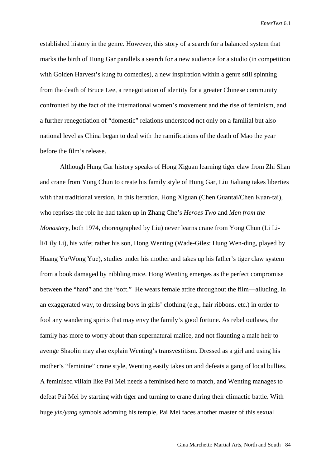established history in the genre. However, this story of a search for a balanced system that marks the birth of Hung Gar parallels a search for a new audience for a studio (in competition with Golden Harvest's kung fu comedies), a new inspiration within a genre still spinning from the death of Bruce Lee, a renegotiation of identity for a greater Chinese community confronted by the fact of the international women's movement and the rise of feminism, and a further renegotiation of "domestic" relations understood not only on a familial but also national level as China began to deal with the ramifications of the death of Mao the year before the film's release.

Although Hung Gar history speaks of Hong Xiguan learning tiger claw from Zhi Shan and crane from Yong Chun to create his family style of Hung Gar, Liu Jialiang takes liberties with that traditional version. In this iteration, Hong Xiguan (Chen Guantai/Chen Kuan-tai), who reprises the role he had taken up in Zhang Che's *Heroes Two* and *Men from the Monastery*, both 1974, choreographed by Liu) never learns crane from Yong Chun (Li Lili/Lily Li), his wife; rather his son, Hong Wenting (Wade-Giles: Hung Wen-ding, played by Huang Yu/Wong Yue), studies under his mother and takes up his father's tiger claw system from a book damaged by nibbling mice. Hong Wenting emerges as the perfect compromise between the "hard" and the "soft." He wears female attire throughout the film—alluding, in an exaggerated way, to dressing boys in girls' clothing (e.g., hair ribbons, etc.) in order to fool any wandering spirits that may envy the family's good fortune. As rebel outlaws, the family has more to worry about than supernatural malice, and not flaunting a male heir to avenge Shaolin may also explain Wenting's transvestitism. Dressed as a girl and using his mother's "feminine" crane style, Wenting easily takes on and defeats a gang of local bullies. A feminised villain like Pai Mei needs a feminised hero to match, and Wenting manages to defeat Pai Mei by starting with tiger and turning to crane during their climactic battle. With huge *yin/yang* symbols adorning his temple, Pai Mei faces another master of this sexual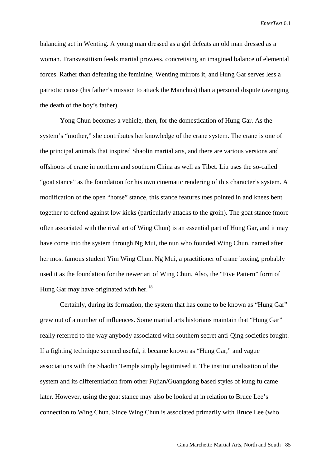balancing act in Wenting. A young man dressed as a girl defeats an old man dressed as a woman. Transvestitism feeds martial prowess, concretising an imagined balance of elemental forces. Rather than defeating the feminine, Wenting mirrors it, and Hung Gar serves less a patriotic cause (his father's mission to attack the Manchus) than a personal dispute (avenging the death of the boy's father).

Yong Chun becomes a vehicle, then, for the domestication of Hung Gar. As the system's "mother," she contributes her knowledge of the crane system. The crane is one of the principal animals that inspired Shaolin martial arts, and there are various versions and offshoots of crane in northern and southern China as well as Tibet. Liu uses the so-called "goat stance" as the foundation for his own cinematic rendering of this character's system. A modification of the open "horse" stance, this stance features toes pointed in and knees bent together to defend against low kicks (particularly attacks to the groin). The goat stance (more often associated with the rival art of Wing Chun) is an essential part of Hung Gar, and it may have come into the system through Ng Mui, the nun who founded Wing Chun, named after her most famous student Yim Wing Chun. Ng Mui, a practitioner of crane boxing, probably used it as the foundation for the newer art of Wing Chun. Also, the "Five Pattern" form of Hung Gar may have originated with her.<sup>18</sup>

Certainly, during its formation, the system that has come to be known as "Hung Gar" grew out of a number of influences. Some martial arts historians maintain that "Hung Gar" really referred to the way anybody associated with southern secret anti-Qing societies fought. If a fighting technique seemed useful, it became known as "Hung Gar," and vague associations with the Shaolin Temple simply legitimised it. The institutionalisation of the system and its differentiation from other Fujian/Guangdong based styles of kung fu came later. However, using the goat stance may also be looked at in relation to Bruce Lee's connection to Wing Chun. Since Wing Chun is associated primarily with Bruce Lee (who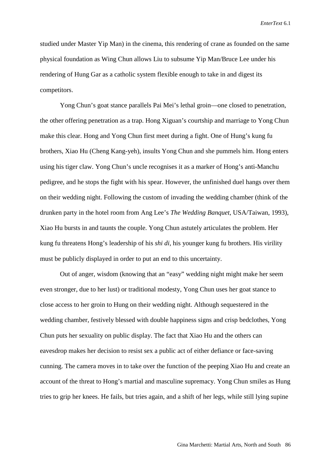studied under Master Yip Man) in the cinema, this rendering of crane as founded on the same physical foundation as Wing Chun allows Liu to subsume Yip Man/Bruce Lee under his rendering of Hung Gar as a catholic system flexible enough to take in and digest its competitors.

Yong Chun's goat stance parallels Pai Mei's lethal groin—one closed to penetration, the other offering penetration as a trap. Hong Xiguan's courtship and marriage to Yong Chun make this clear. Hong and Yong Chun first meet during a fight. One of Hung's kung fu brothers, Xiao Hu (Cheng Kang-yeh), insults Yong Chun and she pummels him. Hong enters using his tiger claw. Yong Chun's uncle recognises it as a marker of Hong's anti-Manchu pedigree, and he stops the fight with his spear. However, the unfinished duel hangs over them on their wedding night. Following the custom of invading the wedding chamber (think of the drunken party in the hotel room from Ang Lee's *The Wedding Banquet*, USA/Taiwan, 1993), Xiao Hu bursts in and taunts the couple. Yong Chun astutely articulates the problem. Her kung fu threatens Hong's leadership of his *shi di*, his younger kung fu brothers. His virility must be publicly displayed in order to put an end to this uncertainty.

Out of anger, wisdom (knowing that an "easy" wedding night might make her seem even stronger, due to her lust) or traditional modesty, Yong Chun uses her goat stance to close access to her groin to Hung on their wedding night. Although sequestered in the wedding chamber, festively blessed with double happiness signs and crisp bedclothes, Yong Chun puts her sexuality on public display. The fact that Xiao Hu and the others can eavesdrop makes her decision to resist sex a public act of either defiance or face-saving cunning. The camera moves in to take over the function of the peeping Xiao Hu and create an account of the threat to Hong's martial and masculine supremacy. Yong Chun smiles as Hung tries to grip her knees. He fails, but tries again, and a shift of her legs, while still lying supine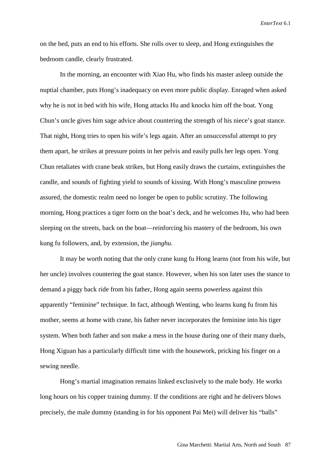on the bed, puts an end to his efforts. She rolls over to sleep, and Hong extinguishes the bedroom candle, clearly frustrated.

In the morning, an encounter with Xiao Hu, who finds his master asleep outside the nuptial chamber, puts Hong's inadequacy on even more public display. Enraged when asked why he is not in bed with his wife, Hong attacks Hu and knocks him off the boat. Yong Chun's uncle gives him sage advice about countering the strength of his niece's goat stance. That night, Hong tries to open his wife's legs again. After an unsuccessful attempt to pry them apart, he strikes at pressure points in her pelvis and easily pulls her legs open. Yong Chun retaliates with crane beak strikes, but Hong easily draws the curtains, extinguishes the candle, and sounds of fighting yield to sounds of kissing. With Hong's masculine prowess assured, the domestic realm need no longer be open to public scrutiny. The following morning, Hong practices a tiger form on the boat's deck, and he welcomes Hu, who had been sleeping on the streets, back on the boat—reinforcing his mastery of the bedroom, his own kung fu followers, and, by extension, the *jianghu*.

It may be worth noting that the only crane kung fu Hong learns (not from his wife, but her uncle) involves countering the goat stance. However, when his son later uses the stance to demand a piggy back ride from his father, Hong again seems powerless against this apparently "feminine" technique. In fact, although Wenting, who learns kung fu from his mother, seems at home with crane, his father never incorporates the feminine into his tiger system. When both father and son make a mess in the house during one of their many duels, Hong Xiguan has a particularly difficult time with the housework, pricking his finger on a sewing needle.

Hong's martial imagination remains linked exclusively to the male body. He works long hours on his copper training dummy. If the conditions are right and he delivers blows precisely, the male dummy (standing in for his opponent Pai Mei) will deliver his "balls"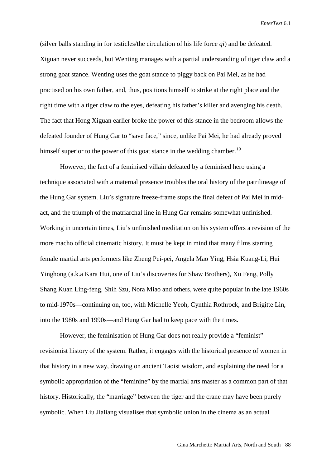(silver balls standing in for testicles/the circulation of his life force *qi*) and be defeated. Xiguan never succeeds, but Wenting manages with a partial understanding of tiger claw and a strong goat stance. Wenting uses the goat stance to piggy back on Pai Mei, as he had practised on his own father, and, thus, positions himself to strike at the right place and the right time with a tiger claw to the eyes, defeating his father's killer and avenging his death. The fact that Hong Xiguan earlier broke the power of this stance in the bedroom allows the defeated founder of Hung Gar to "save face," since, unlike Pai Mei, he had already proved himself superior to the power of this goat stance in the wedding chamber.<sup>[19](#page-36-14)</sup>

However, the fact of a feminised villain defeated by a feminised hero using a technique associated with a maternal presence troubles the oral history of the patrilineage of the Hung Gar system. Liu's signature freeze-frame stops the final defeat of Pai Mei in midact, and the triumph of the matriarchal line in Hung Gar remains somewhat unfinished. Working in uncertain times, Liu's unfinished meditation on his system offers a revision of the more macho official cinematic history. It must be kept in mind that many films starring female martial arts performers like Zheng Pei-pei, Angela Mao Ying, Hsia Kuang-Li, Hui Yinghong (a.k.a Kara Hui, one of Liu's discoveries for Shaw Brothers), Xu Feng, Polly Shang Kuan Ling-feng, Shih Szu, Nora Miao and others, were quite popular in the late 1960s to mid-1970s—continuing on, too, with Michelle Yeoh, Cynthia Rothrock, and Brigitte Lin, into the 1980s and 1990s—and Hung Gar had to keep pace with the times.

However, the feminisation of Hung Gar does not really provide a "feminist" revisionist history of the system. Rather, it engages with the historical presence of women in that history in a new way, drawing on ancient Taoist wisdom, and explaining the need for a symbolic appropriation of the "feminine" by the martial arts master as a common part of that history. Historically, the "marriage" between the tiger and the crane may have been purely symbolic. When Liu Jialiang visualises that symbolic union in the cinema as an actual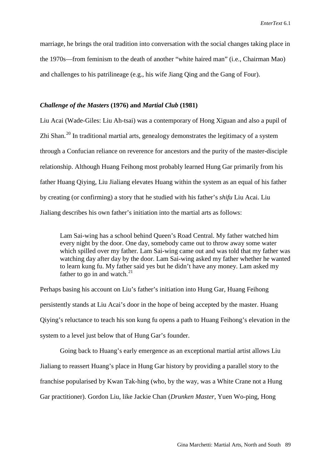marriage, he brings the oral tradition into conversation with the social changes taking place in the 1970s—from feminism to the death of another "white haired man" (i.e., Chairman Mao) and challenges to his patrilineage (e.g., his wife Jiang Qing and the Gang of Four).

#### *Challenge of the Masters* **(1976) and** *Martial Club* **(1981)**

Liu Acai (Wade-Giles: Liu Ah-tsai) was a contemporary of Hong Xiguan and also a pupil of Zhi Shan.<sup>[20](#page-36-15)</sup> In traditional martial arts, genealogy demonstrates the legitimacy of a system through a Confucian reliance on reverence for ancestors and the purity of the master-disciple relationship. Although Huang Feihong most probably learned Hung Gar primarily from his father Huang Qiying, Liu Jialiang elevates Huang within the system as an equal of his father by creating (or confirming) a story that he studied with his father's *shifu* Liu Acai. Liu Jialiang describes his own father's initiation into the martial arts as follows:

Lam Sai-wing has a school behind Queen's Road Central. My father watched him every night by the door. One day, somebody came out to throw away some water which spilled over my father. Lam Sai-wing came out and was told that my father was watching day after day by the door. Lam Sai-wing asked my father whether he wanted to learn kung fu. My father said yes but he didn't have any money. Lam asked my father to go in and watch. $^{21}$  $^{21}$  $^{21}$ 

Perhaps basing his account on Liu's father's initiation into Hung Gar, Huang Feihong persistently stands at Liu Acai's door in the hope of being accepted by the master. Huang Qiying's reluctance to teach his son kung fu opens a path to Huang Feihong's elevation in the system to a level just below that of Hung Gar's founder.

Going back to Huang's early emergence as an exceptional martial artist allows Liu Jialiang to reassert Huang's place in Hung Gar history by providing a parallel story to the franchise popularised by Kwan Tak-hing (who, by the way, was a White Crane not a Hung Gar practitioner). Gordon Liu, like Jackie Chan (*Drunken Master*, Yuen Wo-ping, Hong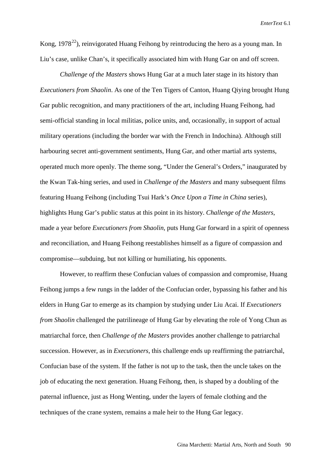Kong, 1978<sup>[22](#page-36-17)</sup>), reinvigorated Huang Feihong by reintroducing the hero as a young man. In Liu's case, unlike Chan's, it specifically associated him with Hung Gar on and off screen.

*Challenge of the Masters* shows Hung Gar at a much later stage in its history than *Executioners from Shaolin*. As one of the Ten Tigers of Canton, Huang Qiying brought Hung Gar public recognition, and many practitioners of the art, including Huang Feihong, had semi-official standing in local militias, police units, and, occasionally, in support of actual military operations (including the border war with the French in Indochina). Although still harbouring secret anti-government sentiments, Hung Gar, and other martial arts systems, operated much more openly. The theme song, "Under the General's Orders," inaugurated by the Kwan Tak-hing series, and used in *Challenge of the Masters* and many subsequent films featuring Huang Feihong (including Tsui Hark's *Once Upon a Time in China* series), highlights Hung Gar's public status at this point in its history. *Challenge of the Masters*, made a year before *Executioners from Shaolin*, puts Hung Gar forward in a spirit of openness and reconciliation, and Huang Feihong reestablishes himself as a figure of compassion and compromise—subduing, but not killing or humiliating, his opponents.

However, to reaffirm these Confucian values of compassion and compromise, Huang Feihong jumps a few rungs in the ladder of the Confucian order, bypassing his father and his elders in Hung Gar to emerge as its champion by studying under Liu Acai. If *Executioners from Shaolin* challenged the patrilineage of Hung Gar by elevating the role of Yong Chun as matriarchal force, then *Challenge of the Masters* provides another challenge to patriarchal succession. However, as in *Executioners*, this challenge ends up reaffirming the patriarchal, Confucian base of the system. If the father is not up to the task, then the uncle takes on the job of educating the next generation. Huang Feihong, then, is shaped by a doubling of the paternal influence, just as Hong Wenting, under the layers of female clothing and the techniques of the crane system, remains a male heir to the Hung Gar legacy.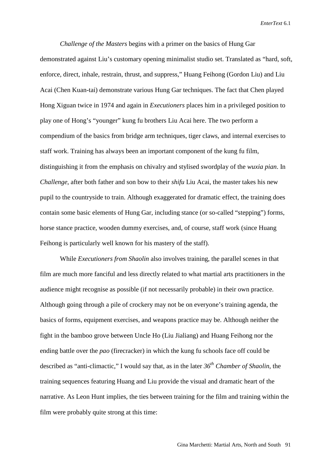*Challenge of the Masters* begins with a primer on the basics of Hung Gar demonstrated against Liu's customary opening minimalist studio set. Translated as "hard, soft, enforce, direct, inhale, restrain, thrust, and suppress," Huang Feihong (Gordon Liu) and Liu Acai (Chen Kuan-tai) demonstrate various Hung Gar techniques. The fact that Chen played Hong Xiguan twice in 1974 and again in *Executioners* places him in a privileged position to play one of Hong's "younger" kung fu brothers Liu Acai here. The two perform a compendium of the basics from bridge arm techniques, tiger claws, and internal exercises to staff work. Training has always been an important component of the kung fu film, distinguishing it from the emphasis on chivalry and stylised swordplay of the *wuxia pian*. In *Challenge*, after both father and son bow to their *shifu* Liu Acai, the master takes his new pupil to the countryside to train. Although exaggerated for dramatic effect, the training does contain some basic elements of Hung Gar, including stance (or so-called "stepping") forms, horse stance practice, wooden dummy exercises, and, of course, staff work (since Huang Feihong is particularly well known for his mastery of the staff).

While *Executioners from Shaolin* also involves training, the parallel scenes in that film are much more fanciful and less directly related to what martial arts practitioners in the audience might recognise as possible (if not necessarily probable) in their own practice. Although going through a pile of crockery may not be on everyone's training agenda, the basics of forms, equipment exercises, and weapons practice may be. Although neither the fight in the bamboo grove between Uncle Ho (Liu Jialiang) and Huang Feihong nor the ending battle over the *pao* (firecracker) in which the kung fu schools face off could be described as "anti-climactic," I would say that, as in the later *36th Chamber of Shaolin*, the training sequences featuring Huang and Liu provide the visual and dramatic heart of the narrative. As Leon Hunt implies, the ties between training for the film and training within the film were probably quite strong at this time: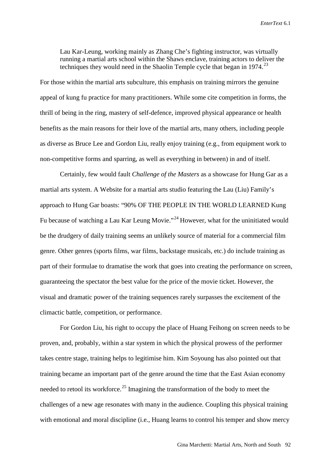Lau Kar-Leung, working mainly as Zhang Che's fighting instructor, was virtually running a martial arts school within the Shaws enclave, training actors to deliver the techniques they would need in the Shaolin Temple cycle that began in  $1974$ <sup>[23](#page-36-18)</sup>

For those within the martial arts subculture, this emphasis on training mirrors the genuine appeal of kung fu practice for many practitioners. While some cite competition in forms, the thrill of being in the ring, mastery of self-defence, improved physical appearance or health benefits as the main reasons for their love of the martial arts, many others, including people as diverse as Bruce Lee and Gordon Liu, really enjoy training (e.g., from equipment work to non-competitive forms and sparring, as well as everything in between) in and of itself.

Certainly, few would fault *Challenge of the Masters* as a showcase for Hung Gar as a martial arts system. A Website for a martial arts studio featuring the Lau (Liu) Family's approach to Hung Gar boasts: "90% OF THE PEOPLE IN THE WORLD LEARNED Kung Fu because of watching a Lau Kar Leung Movie."<sup>[24](#page-36-19)</sup> However, what for the uninitiated would be the drudgery of daily training seems an unlikely source of material for a commercial film genre. Other genres (sports films, war films, backstage musicals, etc.) do include training as part of their formulae to dramatise the work that goes into creating the performance on screen, guaranteeing the spectator the best value for the price of the movie ticket. However, the visual and dramatic power of the training sequences rarely surpasses the excitement of the climactic battle, competition, or performance.

For Gordon Liu, his right to occupy the place of Huang Feihong on screen needs to be proven, and, probably, within a star system in which the physical prowess of the performer takes centre stage, training helps to legitimise him. Kim Soyoung has also pointed out that training became an important part of the genre around the time that the East Asian economy needed to retool its workforce.<sup>[25](#page-36-20)</sup> Imagining the transformation of the body to meet the challenges of a new age resonates with many in the audience. Coupling this physical training with emotional and moral discipline (i.e., Huang learns to control his temper and show mercy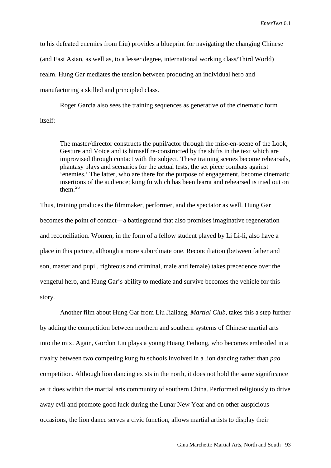to his defeated enemies from Liu) provides a blueprint for navigating the changing Chinese (and East Asian, as well as, to a lesser degree, international working class/Third World) realm. Hung Gar mediates the tension between producing an individual hero and manufacturing a skilled and principled class.

Roger Garcia also sees the training sequences as generative of the cinematic form itself:

The master/director constructs the pupil/actor through the mise-en-scene of the Look, Gesture and Voice and is himself re-constructed by the shifts in the text which are improvised through contact with the subject. These training scenes become rehearsals, phantasy plays and scenarios for the actual tests, the set piece combats against 'enemies.' The latter, who are there for the purpose of engagement, become cinematic insertions of the audience; kung fu which has been learnt and rehearsed is tried out on them $^{26}$  $^{26}$  $^{26}$ 

Thus, training produces the filmmaker, performer, and the spectator as well. Hung Gar becomes the point of contact—a battleground that also promises imaginative regeneration and reconciliation. Women, in the form of a fellow student played by Li Li-li, also have a place in this picture, although a more subordinate one. Reconciliation (between father and son, master and pupil, righteous and criminal, male and female) takes precedence over the vengeful hero, and Hung Gar's ability to mediate and survive becomes the vehicle for this story.

Another film about Hung Gar from Liu Jialiang, *Martial Club*, takes this a step further by adding the competition between northern and southern systems of Chinese martial arts into the mix. Again, Gordon Liu plays a young Huang Feihong, who becomes embroiled in a rivalry between two competing kung fu schools involved in a lion dancing rather than *pao* competition. Although lion dancing exists in the north, it does not hold the same significance as it does within the martial arts community of southern China. Performed religiously to drive away evil and promote good luck during the Lunar New Year and on other auspicious occasions, the lion dance serves a civic function, allows martial artists to display their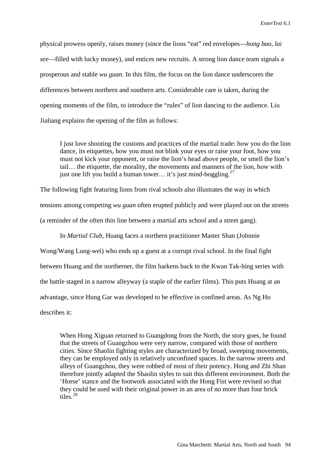physical prowess openly, raises money (since the lions "eat" red envelopes—*hong bao, lai see*—filled with lucky money), and entices new recruits. A strong lion dance team signals a prosperous and stable *wu guan*. In this film, the focus on the lion dance underscores the differences between northern and southern arts. Considerable care is taken, during the opening moments of the film, to introduce the "rules" of lion dancing to the audience. Liu Jialiang explains the opening of the film as follows:

I just love shooting the customs and practices of the martial trade: how you do the lion dance, its etiquettes, how you must not blink your eyes or raise your foot, how you must not kick your opponent, or raise the lion's head above people, or smell the lion's tail… the etiquette, the morality, the movements and manners of the lion, how with just one lift you build a human tower... it's just mind-boggling.<sup>[27](#page-36-22)</sup>

The following fight featuring lions from rival schools also illustrates the way in which tensions among competing *wu guan* often erupted publicly and were played out on the streets (a reminder of the often thin line between a martial arts school and a street gang).

In *Martial Club*, Huang faces a northern practitioner Master Shan (Johnnie

Wong/Wang Lung-wei) who ends up a guest at a corrupt rival school. In the final fight between Huang and the northerner, the film harkens back to the Kwan Tak-hing series with the battle staged in a narrow alleyway (a staple of the earlier films). This puts Huang at an advantage, since Hung Gar was developed to be effective in confined areas. As Ng Ho describes it:

When Hong Xiguan returned to Guangdong from the North, the story goes, he found that the streets of Guangzhou were very narrow, compared with those of northern cities. Since Shaolin fighting styles are characterized by broad, sweeping movements, they can be employed only in relatively unconfined spaces. In the narrow streets and alleys of Guangzhou, they were robbed of most of their potency. Hong and Zhi Shan therefore jointly adapted the Shaolin styles to suit this different environment. Both the 'Horse' stance and the footwork associated with the Hong Fist were revised so that they could be used with their original power in an area of no more than four brick tiles.[28](#page-36-23)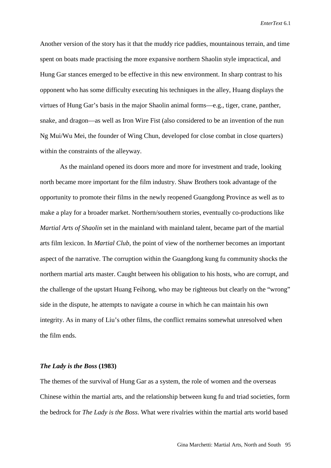Another version of the story has it that the muddy rice paddies, mountainous terrain, and time spent on boats made practising the more expansive northern Shaolin style impractical, and Hung Gar stances emerged to be effective in this new environment. In sharp contrast to his opponent who has some difficulty executing his techniques in the alley, Huang displays the virtues of Hung Gar's basis in the major Shaolin animal forms—e.g., tiger, crane, panther, snake, and dragon—as well as Iron Wire Fist (also considered to be an invention of the nun Ng Mui/Wu Mei, the founder of Wing Chun, developed for close combat in close quarters) within the constraints of the alleyway.

As the mainland opened its doors more and more for investment and trade, looking north became more important for the film industry. Shaw Brothers took advantage of the opportunity to promote their films in the newly reopened Guangdong Province as well as to make a play for a broader market. Northern/southern stories, eventually co-productions like *Martial Arts of Shaolin* set in the mainland with mainland talent, became part of the martial arts film lexicon. In *Martial Club*, the point of view of the northerner becomes an important aspect of the narrative. The corruption within the Guangdong kung fu community shocks the northern martial arts master. Caught between his obligation to his hosts, who are corrupt, and the challenge of the upstart Huang Feihong, who may be righteous but clearly on the "wrong" side in the dispute, he attempts to navigate a course in which he can maintain his own integrity. As in many of Liu's other films, the conflict remains somewhat unresolved when the film ends.

#### *The Lady is the Boss* **(1983)**

The themes of the survival of Hung Gar as a system, the role of women and the overseas Chinese within the martial arts, and the relationship between kung fu and triad societies, form the bedrock for *The Lady is the Boss*. What were rivalries within the martial arts world based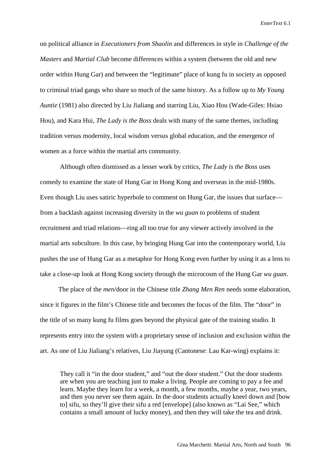on political alliance in *Executioners from Shaolin* and differences in style in *Challenge of the Masters* and *Martial Club* become differences within a system (between the old and new order within Hung Gar) and between the "legitimate" place of kung fu in society as opposed to criminal triad gangs who share so much of the same history. As a follow up to *My Young Auntie* (1981) also directed by Liu Jialiang and starring Liu, Xiao Hou (Wade-Giles: Hsiao Hou), and Kara Hui, *The Lady is the Boss* deals with many of the same themes, including tradition versus modernity, local wisdom versus global education, and the emergence of women as a force within the martial arts community.

Although often dismissed as a lesser work by critics, *The Lady is the Boss* uses comedy to examine the state of Hung Gar in Hong Kong and overseas in the mid-1980s. Even though Liu uses satiric hyperbole to comment on Hung Gar, the issues that surface from a backlash against increasing diversity in the *wu guan* to problems of student recruitment and triad relations—ring all too true for any viewer actively involved in the martial arts subculture. In this case, by bringing Hung Gar into the contemporary world, Liu pushes the use of Hung Gar as a metaphor for Hong Kong even further by using it as a lens to take a close-up look at Hong Kong society through the microcosm of the Hung Gar *wu guan*.

The place of the *men*/door in the Chinese title *Zhang Men Ren* needs some elaboration, since it figures in the film's Chinese title and becomes the focus of the film. The "door" in the title of so many kung fu films goes beyond the physical gate of the training studio. It represents entry into the system with a proprietary sense of inclusion and exclusion within the art. As one of Liu Jialiang's relatives, Liu Jiayung (Cantonese: Lau Kar-wing) explains it:

They call it "in the door student," and "out the door student." Out the door students are when you are teaching just to make a living. People are coming to pay a fee and learn. Maybe they learn for a week, a month, a few months, maybe a year, two years, and then you never see them again. In the door students actually kneel down and [bow to] sifu, so they'll give their sifu a red [envelope] (also known as "Lai See," which contains a small amount of lucky money), and then they will take the tea and drink.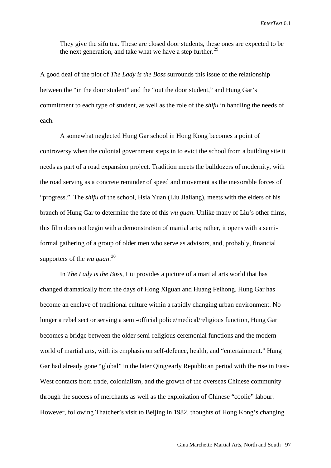They give the sifu tea. These are closed door students, these ones are expected to be the next generation, and take what we have a step further.<sup>[29](#page-36-24)</sup>

A good deal of the plot of *The Lady is the Boss* surrounds this issue of the relationship between the "in the door student" and the "out the door student," and Hung Gar's commitment to each type of student, as well as the role of the *shifu* in handling the needs of each.

A somewhat neglected Hung Gar school in Hong Kong becomes a point of controversy when the colonial government steps in to evict the school from a building site it needs as part of a road expansion project. Tradition meets the bulldozers of modernity, with the road serving as a concrete reminder of speed and movement as the inexorable forces of "progress." The *shifu* of the school, Hsia Yuan (Liu Jialiang), meets with the elders of his branch of Hung Gar to determine the fate of this *wu guan*. Unlike many of Liu's other films, this film does not begin with a demonstration of martial arts; rather, it opens with a semiformal gathering of a group of older men who serve as advisors, and, probably, financial supporters of the *wu guan*. [30](#page-36-25)

In *The Lady is the Boss*, Liu provides a picture of a martial arts world that has changed dramatically from the days of Hong Xiguan and Huang Feihong. Hung Gar has become an enclave of traditional culture within a rapidly changing urban environment. No longer a rebel sect or serving a semi-official police/medical/religious function, Hung Gar becomes a bridge between the older semi-religious ceremonial functions and the modern world of martial arts, with its emphasis on self-defence, health, and "entertainment." Hung Gar had already gone "global" in the later Qing/early Republican period with the rise in East-West contacts from trade, colonialism, and the growth of the overseas Chinese community through the success of merchants as well as the exploitation of Chinese "coolie" labour. However, following Thatcher's visit to Beijing in 1982, thoughts of Hong Kong's changing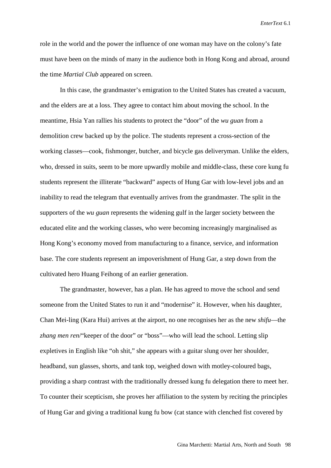role in the world and the power the influence of one woman may have on the colony's fate must have been on the minds of many in the audience both in Hong Kong and abroad, around the time *Martial Club* appeared on screen.

In this case, the grandmaster's emigration to the United States has created a vacuum, and the elders are at a loss. They agree to contact him about moving the school. In the meantime, Hsia Yan rallies his students to protect the "door" of the *wu guan* from a demolition crew backed up by the police. The students represent a cross-section of the working classes—cook, fishmonger, butcher, and bicycle gas deliveryman. Unlike the elders, who, dressed in suits, seem to be more upwardly mobile and middle-class, these core kung fu students represent the illiterate "backward" aspects of Hung Gar with low-level jobs and an inability to read the telegram that eventually arrives from the grandmaster. The split in the supporters of the *wu guan* represents the widening gulf in the larger society between the educated elite and the working classes, who were becoming increasingly marginalised as Hong Kong's economy moved from manufacturing to a finance, service, and information base. The core students represent an impoverishment of Hung Gar, a step down from the cultivated hero Huang Feihong of an earlier generation.

The grandmaster, however, has a plan. He has agreed to move the school and send someone from the United States to run it and "modernise" it. However, when his daughter, Chan Mei-ling (Kara Hui) arrives at the airport, no one recognises her as the new *shifu*—the *zhang men ren*/"keeper of the door" or "boss"—who will lead the school. Letting slip expletives in English like "oh shit," she appears with a guitar slung over her shoulder, headband, sun glasses, shorts, and tank top, weighed down with motley-coloured bags, providing a sharp contrast with the traditionally dressed kung fu delegation there to meet her. To counter their scepticism, she proves her affiliation to the system by reciting the principles of Hung Gar and giving a traditional kung fu bow (cat stance with clenched fist covered by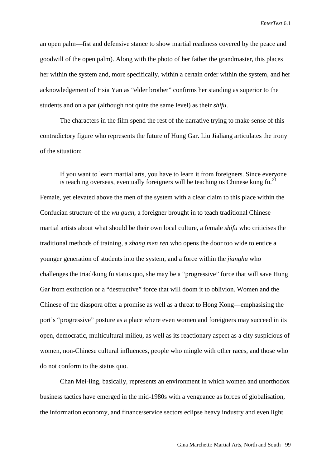an open palm—fist and defensive stance to show martial readiness covered by the peace and goodwill of the open palm). Along with the photo of her father the grandmaster, this places her within the system and, more specifically, within a certain order within the system, and her acknowledgement of Hsia Yan as "elder brother" confirms her standing as superior to the students and on a par (although not quite the same level) as their *shifu*.

The characters in the film spend the rest of the narrative trying to make sense of this contradictory figure who represents the future of Hung Gar. Liu Jialiang articulates the irony of the situation:

If you want to learn martial arts, you have to learn it from foreigners. Since everyone is teaching overseas, eventually foreigners will be teaching us Chinese kung fu.<sup>[31](#page-36-26)</sup>

Female, yet elevated above the men of the system with a clear claim to this place within the Confucian structure of the *wu guan*, a foreigner brought in to teach traditional Chinese martial artists about what should be their own local culture, a female *shifu* who criticises the traditional methods of training, a *zhang men ren* who opens the door too wide to entice a younger generation of students into the system, and a force within the *jianghu* who challenges the triad/kung fu status quo, she may be a "progressive" force that will save Hung Gar from extinction or a "destructive" force that will doom it to oblivion. Women and the Chinese of the diaspora offer a promise as well as a threat to Hong Kong—emphasising the port's "progressive" posture as a place where even women and foreigners may succeed in its open, democratic, multicultural milieu, as well as its reactionary aspect as a city suspicious of women, non-Chinese cultural influences, people who mingle with other races, and those who do not conform to the status quo.

Chan Mei-ling, basically, represents an environment in which women and unorthodox business tactics have emerged in the mid-1980s with a vengeance as forces of globalisation, the information economy, and finance/service sectors eclipse heavy industry and even light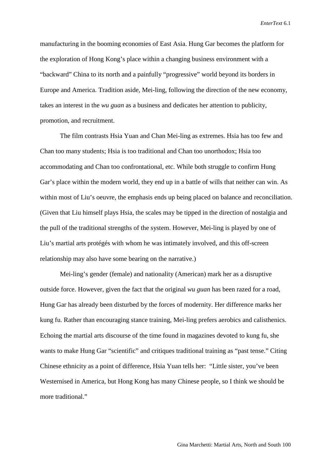manufacturing in the booming economies of East Asia. Hung Gar becomes the platform for the exploration of Hong Kong's place within a changing business environment with a "backward" China to its north and a painfully "progressive" world beyond its borders in Europe and America. Tradition aside, Mei-ling, following the direction of the new economy, takes an interest in the *wu guan* as a business and dedicates her attention to publicity, promotion, and recruitment.

The film contrasts Hsia Yuan and Chan Mei-ling as extremes. Hsia has too few and Chan too many students; Hsia is too traditional and Chan too unorthodox; Hsia too accommodating and Chan too confrontational, etc. While both struggle to confirm Hung Gar's place within the modern world, they end up in a battle of wills that neither can win. As within most of Liu's oeuvre, the emphasis ends up being placed on balance and reconciliation. (Given that Liu himself plays Hsia, the scales may be tipped in the direction of nostalgia and the pull of the traditional strengths of the system. However, Mei-ling is played by one of Liu's martial arts protégés with whom he was intimately involved, and this off-screen relationship may also have some bearing on the narrative.)

Mei-ling's gender (female) and nationality (American) mark her as a disruptive outside force. However, given the fact that the original *wu guan* has been razed for a road, Hung Gar has already been disturbed by the forces of modernity. Her difference marks her kung fu. Rather than encouraging stance training, Mei-ling prefers aerobics and calisthenics. Echoing the martial arts discourse of the time found in magazines devoted to kung fu, she wants to make Hung Gar "scientific" and critiques traditional training as "past tense." Citing Chinese ethnicity as a point of difference, Hsia Yuan tells her: "Little sister, you've been Westernised in America, but Hong Kong has many Chinese people, so I think we should be more traditional."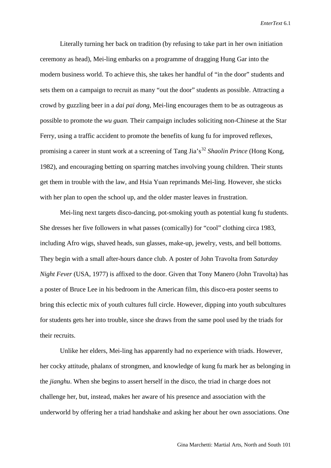Literally turning her back on tradition (by refusing to take part in her own initiation ceremony as head), Mei-ling embarks on a programme of dragging Hung Gar into the modern business world. To achieve this, she takes her handful of "in the door" students and sets them on a campaign to recruit as many "out the door" students as possible. Attracting a crowd by guzzling beer in a *dai pai dong*, Mei-ling encourages them to be as outrageous as possible to promote the *wu guan.* Their campaign includes soliciting non-Chinese at the Star Ferry, using a traffic accident to promote the benefits of kung fu for improved reflexes, promising a career in stunt work at a screening of Tang Jia's<sup>[32](#page-36-27)</sup> *Shaolin Prince* (Hong Kong, 1982), and encouraging betting on sparring matches involving young children. Their stunts get them in trouble with the law, and Hsia Yuan reprimands Mei-ling. However, she sticks with her plan to open the school up, and the older master leaves in frustration.

Mei-ling next targets disco-dancing, pot-smoking youth as potential kung fu students. She dresses her five followers in what passes (comically) for "cool" clothing circa 1983, including Afro wigs, shaved heads, sun glasses, make-up, jewelry, vests, and bell bottoms. They begin with a small after-hours dance club. A poster of John Travolta from *Saturday Night Fever* (USA, 1977) is affixed to the door. Given that Tony Manero (John Travolta) has a poster of Bruce Lee in his bedroom in the American film, this disco-era poster seems to bring this eclectic mix of youth cultures full circle. However, dipping into youth subcultures for students gets her into trouble, since she draws from the same pool used by the triads for their recruits.

Unlike her elders, Mei-ling has apparently had no experience with triads. However, her cocky attitude, phalanx of strongmen, and knowledge of kung fu mark her as belonging in the *jianghu*. When she begins to assert herself in the disco, the triad in charge does not challenge her, but, instead, makes her aware of his presence and association with the underworld by offering her a triad handshake and asking her about her own associations. One

Gina Marchetti: Martial Arts, North and South 101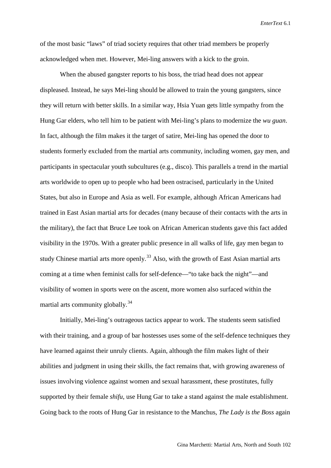of the most basic "laws" of triad society requires that other triad members be properly acknowledged when met. However, Mei-ling answers with a kick to the groin.

When the abused gangster reports to his boss, the triad head does not appear displeased. Instead, he says Mei-ling should be allowed to train the young gangsters, since they will return with better skills. In a similar way, Hsia Yuan gets little sympathy from the Hung Gar elders, who tell him to be patient with Mei-ling's plans to modernize the *wu guan*. In fact, although the film makes it the target of satire, Mei-ling has opened the door to students formerly excluded from the martial arts community, including women, gay men, and participants in spectacular youth subcultures (e.g., disco). This parallels a trend in the martial arts worldwide to open up to people who had been ostracised, particularly in the United States, but also in Europe and Asia as well. For example, although African Americans had trained in East Asian martial arts for decades (many because of their contacts with the arts in the military), the fact that Bruce Lee took on African American students gave this fact added visibility in the 1970s. With a greater public presence in all walks of life, gay men began to study Chinese martial arts more openly.<sup>[33](#page-36-0)</sup> Also, with the growth of East Asian martial arts coming at a time when feminist calls for self-defence—"to take back the night"—and visibility of women in sports were on the ascent, more women also surfaced within the martial arts community globally.[34](#page-36-28) 

Initially, Mei-ling's outrageous tactics appear to work. The students seem satisfied with their training, and a group of bar hostesses uses some of the self-defence techniques they have learned against their unruly clients. Again, although the film makes light of their abilities and judgment in using their skills, the fact remains that, with growing awareness of issues involving violence against women and sexual harassment, these prostitutes, fully supported by their female *shifu*, use Hung Gar to take a stand against the male establishment. Going back to the roots of Hung Gar in resistance to the Manchus, *The Lady is the Boss* again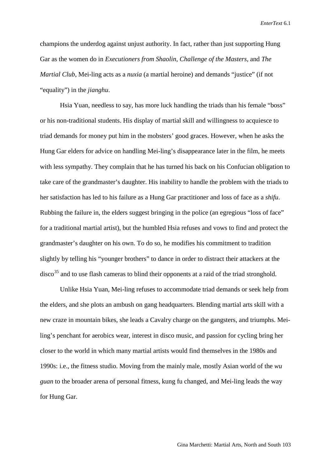champions the underdog against unjust authority. In fact, rather than just supporting Hung Gar as the women do in *Executioners from Shaolin*, *Challenge of the Masters*, and *The Martial Club*, Mei-ling acts as a *nuxia* (a martial heroine) and demands "justice" (if not "equality") in the *jianghu*.

Hsia Yuan, needless to say, has more luck handling the triads than his female "boss" or his non-traditional students. His display of martial skill and willingness to acquiesce to triad demands for money put him in the mobsters' good graces. However, when he asks the Hung Gar elders for advice on handling Mei-ling's disappearance later in the film, he meets with less sympathy. They complain that he has turned his back on his Confucian obligation to take care of the grandmaster's daughter. His inability to handle the problem with the triads to her satisfaction has led to his failure as a Hung Gar practitioner and loss of face as a *shifu*. Rubbing the failure in, the elders suggest bringing in the police (an egregious "loss of face" for a traditional martial artist), but the humbled Hsia refuses and vows to find and protect the grandmaster's daughter on his own. To do so, he modifies his commitment to tradition slightly by telling his "younger brothers" to dance in order to distract their attackers at the  $\text{disco}^{35}$  $\text{disco}^{35}$  $\text{disco}^{35}$  and to use flash cameras to blind their opponents at a raid of the triad stronghold.

Unlike Hsia Yuan, Mei-ling refuses to accommodate triad demands or seek help from the elders, and she plots an ambush on gang headquarters. Blending martial arts skill with a new craze in mountain bikes, she leads a Cavalry charge on the gangsters, and triumphs. Meiling's penchant for aerobics wear, interest in disco music, and passion for cycling bring her closer to the world in which many martial artists would find themselves in the 1980s and 1990s: i.e., the fitness studio. Moving from the mainly male, mostly Asian world of the *wu guan* to the broader arena of personal fitness, kung fu changed, and Mei-ling leads the way for Hung Gar.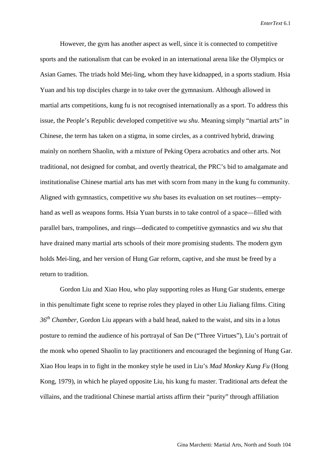However, the gym has another aspect as well, since it is connected to competitive sports and the nationalism that can be evoked in an international arena like the Olympics or Asian Games. The triads hold Mei-ling, whom they have kidnapped, in a sports stadium. Hsia Yuan and his top disciples charge in to take over the gymnasium. Although allowed in martial arts competitions, kung fu is not recognised internationally as a sport. To address this issue, the People's Republic developed competitive *wu shu*. Meaning simply "martial arts" in Chinese, the term has taken on a stigma, in some circles, as a contrived hybrid, drawing mainly on northern Shaolin, with a mixture of Peking Opera acrobatics and other arts. Not traditional, not designed for combat, and overtly theatrical, the PRC's bid to amalgamate and institutionalise Chinese martial arts has met with scorn from many in the kung fu community. Aligned with gymnastics, competitive *wu shu* bases its evaluation on set routines—emptyhand as well as weapons forms. Hsia Yuan bursts in to take control of a space—filled with parallel bars, trampolines, and rings—dedicated to competitive gymnastics and *wu shu* that have drained many martial arts schools of their more promising students. The modern gym holds Mei-ling, and her version of Hung Gar reform, captive, and she must be freed by a return to tradition.

Gordon Liu and Xiao Hou, who play supporting roles as Hung Gar students, emerge in this penultimate fight scene to reprise roles they played in other Liu Jialiang films. Citing *36th Chamber*, Gordon Liu appears with a bald head, naked to the waist, and sits in a lotus posture to remind the audience of his portrayal of San De ("Three Virtues"), Liu's portrait of the monk who opened Shaolin to lay practitioners and encouraged the beginning of Hung Gar. Xiao Hou leaps in to fight in the monkey style he used in Liu's *Mad Monkey Kung Fu* (Hong Kong, 1979), in which he played opposite Liu, his kung fu master. Traditional arts defeat the villains, and the traditional Chinese martial artists affirm their "purity" through affiliation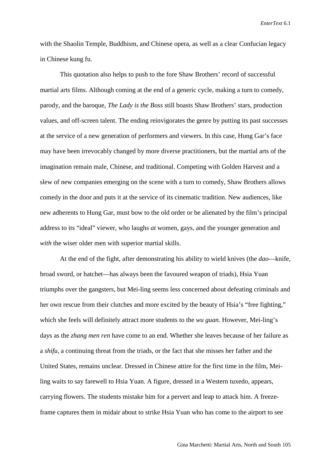with the Shaolin Temple, Buddhism, and Chinese opera, as well as a clear Confucian legacy in Chinese kung fu.

This quotation also helps to push to the fore Shaw Brothers' record of successful martial arts films. Although coming at the end of a generic cycle, making a turn to comedy, parody, and the baroque, *The Lady is the Boss* still boasts Shaw Brothers' stars, production values, and off-screen talent. The ending reinvigorates the genre by putting its past successes at the service of a new generation of performers and viewers. In this case, Hung Gar's face may have been irrevocably changed by more diverse practitioners, but the martial arts of the imagination remain male, Chinese, and traditional. Competing with Golden Harvest and a slew of new companies emerging on the scene with a turn to comedy, Shaw Brothers allows comedy in the door and puts it at the service of its cinematic tradition. New audiences, like new adherents to Hung Gar, must bow to the old order or be alienated by the film's principal address to its "ideal" viewer, who laughs *at* women, gays, and the younger generation and *with* the wiser older men with superior martial skills.

At the end of the fight, after demonstrating his ability to wield knives (the *dao*—knife, broad sword, or hatchet—has always been the favoured weapon of triads), Hsia Yuan triumphs over the gangsters, but Mei-ling seems less concerned about defeating criminals and her own rescue from their clutches and more excited by the beauty of Hsia's "free fighting," which she feels will definitely attract more students to the *wu guan*. However, Mei-ling's days as the *zhang men ren* have come to an end. Whether she leaves because of her failure as a *shifu*, a continuing threat from the triads, or the fact that she misses her father and the United States, remains unclear. Dressed in Chinese attire for the first time in the film, Meiling waits to say farewell to Hsia Yuan. A figure, dressed in a Western tuxedo, appears, carrying flowers. The students mistake him for a pervert and leap to attack him. A freezeframe captures them in midair about to strike Hsia Yuan who has come to the airport to see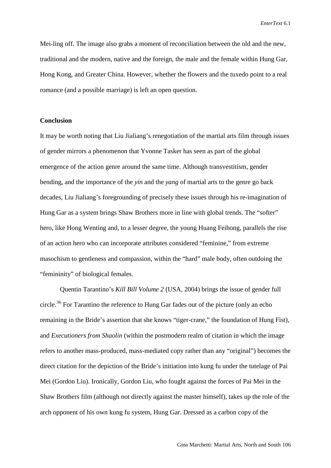Mei-ling off. The image also grabs a moment of reconciliation between the old and the new, traditional and the modern, native and the foreign, the male and the female within Hung Gar, Hong Kong, and Greater China. However, whether the flowers and the tuxedo point to a real romance (and a possible marriage) is left an open question.

### **Conclusion**

It may be worth noting that Liu Jialiang's renegotiation of the martial arts film through issues of gender mirrors a phenomenon that Yvonne Tasker has seen as part of the global emergence of the action genre around the same time. Although transvestitism, gender bending, and the importance of the *yin* and the *yang* of martial arts to the genre go back decades, Liu Jialiang's foregrounding of precisely these issues through his re-imagination of Hung Gar as a system brings Shaw Brothers more in line with global trends. The "softer" hero, like Hong Wenting and, to a lesser degree, the young Huang Feihong, parallels the rise of an action hero who can incorporate attributes considered "feminine," from extreme masochism to gentleness and compassion, within the "hard" male body, often outdoing the "femininity" of biological females.

Quentin Tarantino's *Kill Bill Volume 2* (USA, 2004) brings the issue of gender full circle.<sup>[36](#page-36-3)</sup> For Tarantino the reference to Hung Gar fades out of the picture (only an echo remaining in the Bride's assertion that she knows "tiger-crane," the foundation of Hung Fist), and *Executioners from Shaolin* (within the postmodern realm of citation in which the image refers to another mass-produced, mass-mediated copy rather than any "original") becomes the direct citation for the depiction of the Bride's initiation into kung fu under the tutelage of Pai Mei (Gordon Liu). Ironically, Gordon Liu, who fought against the forces of Pai Mei in the Shaw Brothers film (although not directly against the master himself), takes up the role of the arch opponent of his own kung fu system, Hung Gar. Dressed as a carbon copy of the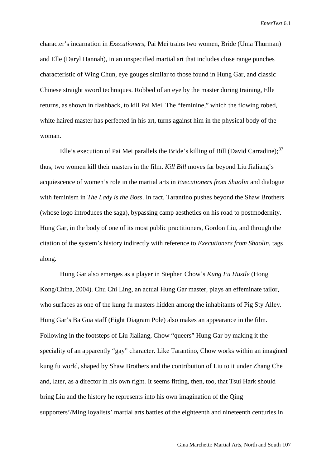character's incarnation in *Executioners*, Pai Mei trains two women, Bride (Uma Thurman) and Elle (Daryl Hannah), in an unspecified martial art that includes close range punches characteristic of Wing Chun, eye gouges similar to those found in Hung Gar, and classic Chinese straight sword techniques. Robbed of an eye by the master during training, Elle returns, as shown in flashback, to kill Pai Mei. The "feminine," which the flowing robed, white haired master has perfected in his art, turns against him in the physical body of the woman.

Elle's execution of Pai Mei parallels the Bride's killing of Bill (David Carradine);<sup>[37](#page-36-30)</sup> thus, two women kill their masters in the film. *Kill Bill* moves far beyond Liu Jialiang's acquiescence of women's role in the martial arts in *Executioners from Shaolin* and dialogue with feminism in *The Lady is the Boss*. In fact, Tarantino pushes beyond the Shaw Brothers (whose logo introduces the saga), bypassing camp aesthetics on his road to postmodernity. Hung Gar, in the body of one of its most public practitioners, Gordon Liu, and through the citation of the system's history indirectly with reference to *Executioners from Shaolin*, tags along.

Hung Gar also emerges as a player in Stephen Chow's *Kung Fu Hustle* (Hong Kong/China, 2004). [Chu Chi Ling,](http://www.hkcinemagic.com/en/people.asp?id=1861) an actual Hung Gar master, plays an effeminate tailor, who surfaces as one of the kung fu masters hidden among the inhabitants of Pig Sty Alley. Hung Gar's Ba Gua staff (Eight Diagram Pole) also makes an appearance in the film. Following in the footsteps of Liu Jialiang, Chow "queers" Hung Gar by making it the speciality of an apparently "gay" character. Like Tarantino, Chow works within an imagined kung fu world, shaped by Shaw Brothers and the contribution of Liu to it under Zhang Che and, later, as a director in his own right. It seems fitting, then, too, that Tsui Hark should bring Liu and the history he represents into his own imagination of the Qing supporters'/Ming loyalists' martial arts battles of the eighteenth and nineteenth centuries in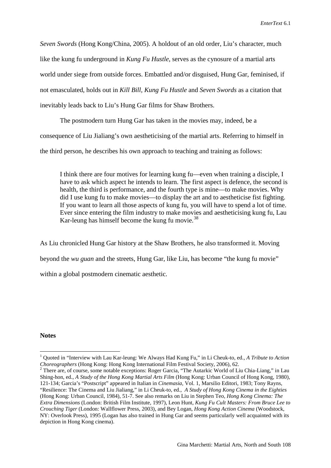*Seven Swords* (Hong Kong/China, 2005). A holdout of an old order, Liu's character, much like the kung fu underground in *Kung Fu Hustle*, serves as the cynosure of a martial arts world under siege from outside forces. Embattled and/or disguised, Hung Gar, feminised, if not emasculated, holds out in *Kill Bill, Kung Fu Hustle* and *Seven Swords* as a citation that inevitably leads back to Liu's Hung Gar films for Shaw Brothers.

The postmodern turn Hung Gar has taken in the movies may, indeed, be a consequence of Liu Jialiang's own aestheticising of the martial arts. Referring to himself in the third person, he describes his own approach to teaching and training as follows:

I think there are four motives for learning kung fu—even when training a disciple, I have to ask which aspect he intends to learn. The first aspect is defence, the second is health, the third is performance, and the fourth type is mine—to make movies. Why did I use kung fu to make movies—to display the art and to aestheticise fist fighting. If you want to learn all those aspects of kung fu, you will have to spend a lot of time. Ever since entering the film industry to make movies and aestheticising kung fu, Lau Kar-leung has himself become the kung fu movie. $38$ 

As Liu chronicled Hung Gar history at the Shaw Brothers, he also transformed it. Moving beyond the *wu guan* and the streets, Hung Gar, like Liu, has become "the kung fu movie" within a global postmodern cinematic aesthetic.

#### **Notes**

<sup>&</sup>lt;sup>1</sup> Quoted in "Interview with Lau Kar-leung: We Always Had Kung Fu," in Li Cheuk-to, ed., *A Tribute to Action Choreographers* (Hong Kong: Hong Kong International Film Festival Society, 2006), 62.

<sup>&</sup>lt;sup>2</sup> There are, of course, some notable exceptions: Roger Garcia, "The Autarkic World of Liu Chia-Liang," in Lau Shing-hon, ed., *A Study of the Hong Kong Martial Arts Film* (Hong Kong: Urban Council of Hong Kong, 1980), 121-134; Garcia's "Postscript" appeared in Italian in *Cinemasia*, Vol. 1, Marsilio Editori, 1983; Tony Rayns, "Resilience: The Cinema and Liu Jialiang," in Li Cheuk-to, ed., *A Study of Hong Kong Cinema in the Eighties* (Hong Kong: Urban Council, 1984), 51-7. See also remarks on Liu in Stephen Teo, *Hong Kong Cinema: The Extra Dimensions* (London: British Film Institute, 1997), Leon Hunt, *Kung Fu Cult Masters: From Bruce Lee to Crouching Tiger* (London: Wallflower Press, 2003), and Bey Logan, *Hong Kong Action Cinema* (Woodstock, NY: Overlook Press), 1995 (Logan has also trained in Hung Gar and seems particularly well acquainted with its depiction in Hong Kong cinema).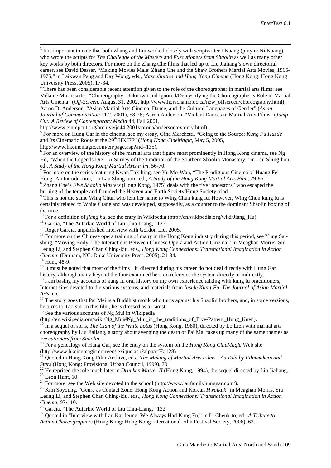<span id="page-35-2"></span><sup>3</sup> It is important to note that both Zhang and Liu worked closely with scriptwriter I Kuang (pinyin: Ni Kuang), who wrote the scripts for *The Challenge of the Masters* and *Executioners from Shaolin* as well as many other key works by both directors. For more on the Zhang Che films that led up to Liu Jialiang's own directorial career, see David Desser, "Making Movies Male: Zhang Che and the Shaw Brothers Martial Arts Movies, 1965- 1975," in Laikwan Pang and Day Wong, eds., *Masculinities and Hong Kong Cinema* (Hong Kong: Hong Kong

<span id="page-35-3"></span><sup>4</sup> There has been considerable recent attention given to the role of the choreographer in martial arts films: see Mélanie Morrissette , "Choreography: Unknown and Ignored/Demystifying the Choreographer's Role in Martial Arts Cinema" (*Off-Screen*, August 31, 2002, http://www.horschamp.qc.ca/new\_offscreen/choreography.html); Aaron D. Anderson, "Asian Martial Arts Cinema, Dance, and the Cultural Languages of Gender" (*Asian Journal of Communication* 11.2, 2001), 58-78; Aaron Anderson, "Violent Dances in Martial Arts Films" (*Jump Cut: A Review of Contemporary Media* 44, Fall 2001,

http://www.ejumpcut.org/archive/jc44.2001/aarona/andersontextonly.html).

<sup>5</sup> For more on Hung Gar in the cinema, see my essay, Gina Marchetti, "Going to the Source: *Kung Fu Hustle* and Its Cinematic Roots at the 29<sup>th</sup> HKIFF" (*Hong Kong CineMagic*, May 5, 2005,

[http://www.hkcinemagic.com/en/page.asp?aid=135\)](http://www.hkcinemagic.com/en/page.asp?aid=135).<br><sup>6</sup> For an overview of the history of the martial arts that figure most prominently in Hong Kong cinema, see Ng Ho, "When the Legends Die—A Survey of the Tradition of the Southern Shaolin Monastery," in Lau Shing-hon,

ed., *A Study of the Hong Kong Martial Arts Film*, 56-70.<br><sup>7</sup> For more on the series featuring Kwan Tak-hing, see Yu Mo-Wan, "The Prodigious Cinema of Huang Fei-Hong: An Introduction," in Lau Shing-hon, ed., *A Study of th* 

<sup>8</sup> Zhang Che's *Five Shaolin Masters* (Hong Kong, 1975) deals with the five "ancestors" who escaped the burning of the temple and founded the Heaven and Earth Society/Hung Society triad.

 $\frac{1}{9}$  This is not the same Wing Chun who lent her name to Wing Chun kung fu. However, Wing Chun kung fu is certainly related to White Crane and was developed, supposedly, as a counter to the dominant Shaolin boxing of

the time.<br><sup>10</sup> For a definition of *jiang hu*, see the entry in Wikipedia (http://en.wikipedia.org/wiki/Jiang\_Hu).

<sup>11</sup> Garcia, "The Autarkic World of Liu Chia-Liang," 125.<br><sup>12</sup> Roger Garcia, unpublished interview with Gordon Liu, 2005.<br><sup>13</sup> For more on the Chinese opera training of many in the Hong Kong industry during this period, s shing, "Moving Body: The Interactions Between Chinese Opera and Action Cinema," in Meaghan Morris, Siu Leung Li, and Stephen Chan Ching-kiu, eds., *Hong Kong Connections: Transnational Imagination in Action* 

<sup>14</sup> Hunt, 48-9.<br><sup>15</sup> It must be noted that most of the films Liu directed during his career do not deal directly with Hung Gar history, although many beyond the four examined here do reference the system directly or indirectly.

<sup>16</sup> I am basing my accounts of kung fu oral history on my own experience talking with kung fu practitioners, Internet sites devoted to the various systems, and materials from *Inside Kung-Fu, The Journal of Asian Martial* 

*Arts*, etc. <sup>17</sup> The story goes that Pai Mei is a Buddhist monk who turns against his Shaolin brothers, and, in some versions, he turns to Taoism. In this film, he is dressed as a Taoist.

 $18$  See the various accounts of Ng Mui in Wikipedia

[\(http://en.wikipedia.org/wiki/Ng\\_Mui#Ng\\_Mui\\_in\\_the\\_traditions\\_of\\_Five-Pattern\\_Hung\\_Kuen\)](http://en.wikipedia.org/wiki/Ng_Mui#Ng_Mui_in_the_traditions_of_Five-Pattern_Hung_Kuen).

<sup>19</sup> In a sequel of sorts, *The Clan of the White Lotus* (Hong Kong, 1980), directed by Lo Lieh with martial arts choreography by Liu Jialiang, a story about avenging the death of Pai Mai takes up many of the same themes as

*Executioners from Shaolin.*<br><sup>20</sup> For a genealogy of Hung Gar, see the entry on the system on the *Hong Kong CineMagic* Web site (http://www.hkcinemagic.com/en/lexique.asp?alpha=H#128).

<sup>21</sup> Quoted in Hong Kong Film Archive, eds., *The Making of Martial Arts Films—As Told by Filmmakers and* 

<span id="page-35-1"></span><span id="page-35-0"></span>*Stars* (Hong Kong: Provisional Urban Council, 1999), 70.<br>
<sup>22</sup> He reprised the role much later in *Drunken Master II* (Hong Kong, 1994), the sequel directed by Liu Jialiang.<br>
<sup>23</sup> Leon Hunt, 10.<br>
<sup>24</sup> For more, see the W

Leung Li, and Stephen Chan Ching-kiu, eds., *Hong Kong Connections: Transnational Imagination in Action Cinema*, 97-110. <sup>26</sup> Garcia, "The Autarkic World of Liu Chia-Liang," 132. <sup>27</sup> Quoted in "Interview with Lau Kar-leung: We Always Had Kung Fu," in Li Cheuk-to, ed., *A Tribute to* 

*Action Choreographers* (Hong Kong: Hong Kong International Film Festival Society, 2006), 62.